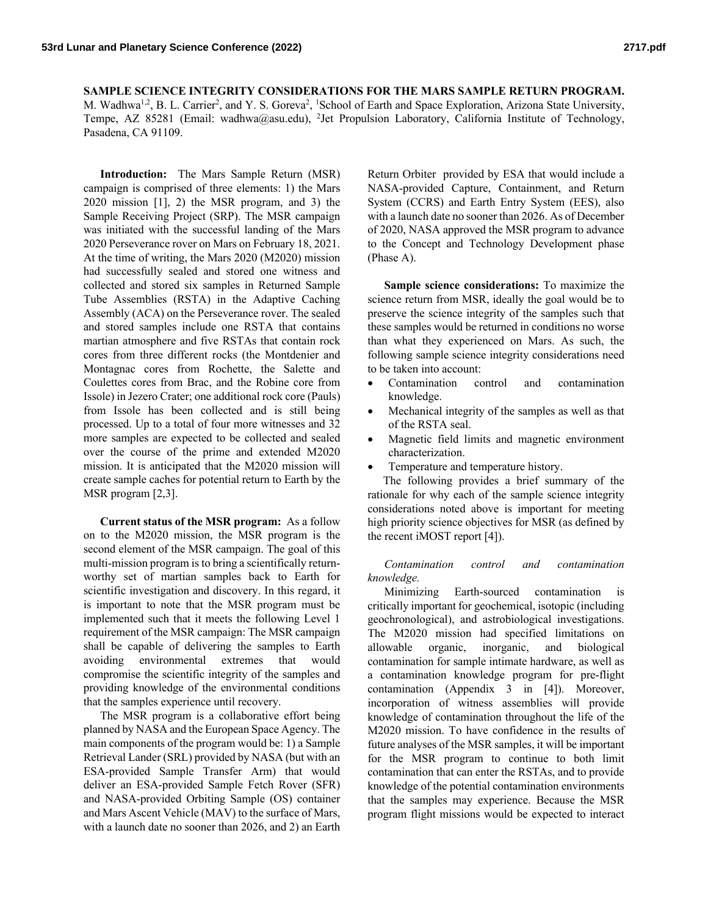**SAMPLE SCIENCE INTEGRITY CONSIDERATIONS FOR THE MARS SAMPLE RETURN PROGRAM.** M. Wadhwa<sup>1,2</sup>, B. L. Carrier<sup>2</sup>, and Y. S. Goreva<sup>2</sup>, <sup>1</sup>School of Earth and Space Exploration, Arizona State University, Tempe, AZ 85281 (Email: wadhwa@asu.edu), <sup>2</sup>Jet Propulsion Laboratory, California Institute of Technology, Pasadena, CA 91109.

**Introduction:** The Mars Sample Return (MSR) campaign is comprised of three elements: 1) the Mars 2020 mission [1], 2) the MSR program, and 3) the Sample Receiving Project (SRP). The MSR campaign was initiated with the successful landing of the Mars 2020 Perseverance rover on Mars on February 18, 2021. At the time of writing, the Mars 2020 (M2020) mission had successfully sealed and stored one witness and collected and stored six samples in Returned Sample Tube Assemblies (RSTA) in the Adaptive Caching Assembly (ACA) on the Perseverance rover. The sealed and stored samples include one RSTA that contains martian atmosphere and five RSTAs that contain rock cores from three different rocks (the Montdenier and Montagnac cores from Rochette, the Salette and Coulettes cores from Brac, and the Robine core from Issole) in Jezero Crater; one additional rock core (Pauls) from Issole has been collected and is still being processed. Up to a total of four more witnesses and 32 more samples are expected to be collected and sealed over the course of the prime and extended M2020 mission. It is anticipated that the M2020 mission will create sample caches for potential return to Earth by the MSR program [2,3].

**Current status of the MSR program:** As a follow on to the M2020 mission, the MSR program is the second element of the MSR campaign. The goal of this multi-mission program is to bring a scientifically returnworthy set of martian samples back to Earth for scientific investigation and discovery. In this regard, it is important to note that the MSR program must be implemented such that it meets the following Level 1 requirement of the MSR campaign: The MSR campaign shall be capable of delivering the samples to Earth avoiding environmental extremes that would compromise the scientific integrity of the samples and providing knowledge of the environmental conditions that the samples experience until recovery.

The MSR program is a collaborative effort being planned by NASA and the European Space Agency. The main components of the program would be: 1) a Sample Retrieval Lander (SRL) provided by NASA (but with an ESA-provided Sample Transfer Arm) that would deliver an ESA-provided Sample Fetch Rover (SFR) and NASA-provided Orbiting Sample (OS) container and Mars Ascent Vehicle (MAV) to the surface of Mars, with a launch date no sooner than 2026, and 2) an Earth

Return Orbiter provided by ESA that would include a NASA-provided Capture, Containment, and Return System (CCRS) and Earth Entry System (EES), also with a launch date no sooner than 2026. As of December of 2020, NASA approved the MSR program to advance to the Concept and Technology Development phase (Phase A).

**Sample science considerations:** To maximize the science return from MSR, ideally the goal would be to preserve the science integrity of the samples such that these samples would be returned in conditions no worse than what they experienced on Mars. As such, the following sample science integrity considerations need to be taken into account:

- Contamination control and contamination knowledge.
- Mechanical integrity of the samples as well as that of the RSTA seal.
- Magnetic field limits and magnetic environment characterization.
- Temperature and temperature history.

The following provides a brief summary of the rationale for why each of the sample science integrity considerations noted above is important for meeting high priority science objectives for MSR (as defined by the recent iMOST report [4]).

*Contamination control and contamination knowledge.* 

Minimizing Earth-sourced contamination critically important for geochemical, isotopic (including geochronological), and astrobiological investigations. The M2020 mission had specified limitations on allowable organic, inorganic, and biological contamination for sample intimate hardware, as well as a contamination knowledge program for pre-flight contamination (Appendix 3 in [4]). Moreover, incorporation of witness assemblies will provide knowledge of contamination throughout the life of the M2020 mission. To have confidence in the results of future analyses of the MSR samples, it will be important for the MSR program to continue to both limit contamination that can enter the RSTAs, and to provide knowledge of the potential contamination environments that the samples may experience. Because the MSR program flight missions would be expected to interact